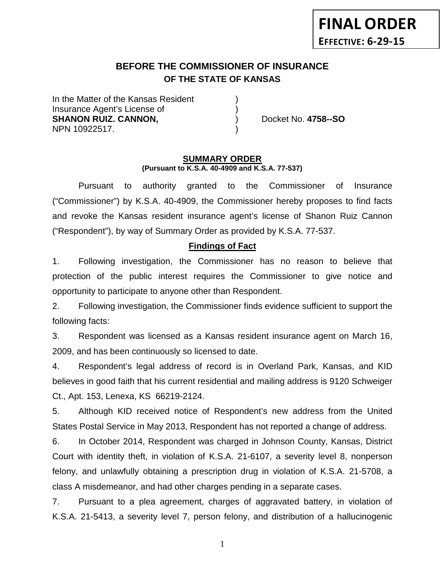# **BEFORE THE COMMISSIONER OF INSURANCE OF THE STATE OF KANSAS**

In the Matter of the Kansas Resident Insurance Agent's License of ) **SHANON RUIZ. CANNON,** ) Docket No. **4758--SO** NPN 10922517. )

#### **SUMMARY ORDER (Pursuant to K.S.A. 40-4909 and K.S.A. 77-537)**

Pursuant to authority granted to the Commissioner of Insurance ("Commissioner") by K.S.A. 40-4909, the Commissioner hereby proposes to find facts and revoke the Kansas resident insurance agent's license of Shanon Ruiz Cannon ("Respondent"), by way of Summary Order as provided by K.S.A. 77-537.

## **Findings of Fact**

1. Following investigation, the Commissioner has no reason to believe that protection of the public interest requires the Commissioner to give notice and opportunity to participate to anyone other than Respondent.

2. Following investigation, the Commissioner finds evidence sufficient to support the following facts:

3. Respondent was licensed as a Kansas resident insurance agent on March 16, 2009, and has been continuously so licensed to date.

4. Respondent's legal address of record is in Overland Park, Kansas, and KID believes in good faith that his current residential and mailing address is 9120 Schweiger Ct., Apt. 153, Lenexa, KS 66219-2124.

5. Although KID received notice of Respondent's new address from the United States Postal Service in May 2013, Respondent has not reported a change of address.

6. In October 2014, Respondent was charged in Johnson County, Kansas, District Court with identity theft, in violation of K.S.A. 21-6107, a severity level 8, nonperson felony, and unlawfully obtaining a prescription drug in violation of K.S.A. 21-5708, a class A misdemeanor, and had other charges pending in a separate cases.

7. Pursuant to a plea agreement, charges of aggravated battery, in violation of K.S.A. 21-5413, a severity level 7, person felony, and distribution of a hallucinogenic

1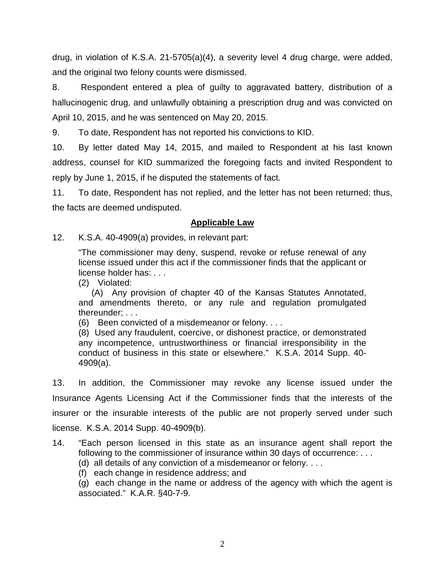drug, in violation of K.S.A. 21-5705(a)(4), a severity level 4 drug charge, were added, and the original two felony counts were dismissed.

8. Respondent entered a plea of guilty to aggravated battery, distribution of a hallucinogenic drug, and unlawfully obtaining a prescription drug and was convicted on April 10, 2015, and he was sentenced on May 20, 2015.

9. To date, Respondent has not reported his convictions to KID.

10. By letter dated May 14, 2015, and mailed to Respondent at his last known address, counsel for KID summarized the foregoing facts and invited Respondent to reply by June 1, 2015, if he disputed the statements of fact.

11. To date, Respondent has not replied, and the letter has not been returned; thus, the facts are deemed undisputed.

# **Applicable Law**

12. K.S.A. 40-4909(a) provides, in relevant part:

"The commissioner may deny, suspend, revoke or refuse renewal of any license issued under this act if the commissioner finds that the applicant or license holder has: . . .

(2) Violated:

(A) Any provision of chapter 40 of the Kansas Statutes Annotated, and amendments thereto, or any rule and regulation promulgated thereunder; . . .

(6) Been convicted of a misdemeanor or felony. . . .

(8) Used any fraudulent, coercive, or dishonest practice, or demonstrated any incompetence, untrustworthiness or financial irresponsibility in the conduct of business in this state or elsewhere." K.S.A. 2014 Supp. 40- 4909(a).

13. In addition, the Commissioner may revoke any license issued under the Insurance Agents Licensing Act if the Commissioner finds that the interests of the insurer or the insurable interests of the public are not properly served under such license. K.S.A. 2014 Supp. 40-4909(b).

- 14. "Each person licensed in this state as an insurance agent shall report the following to the commissioner of insurance within 30 days of occurrence: . . .
	- (d) all details of any conviction of a misdemeanor or felony. . . .
	- (f) each change in residence address; and

(g) each change in the name or address of the agency with which the agent is associated." K.A.R. §40-7-9.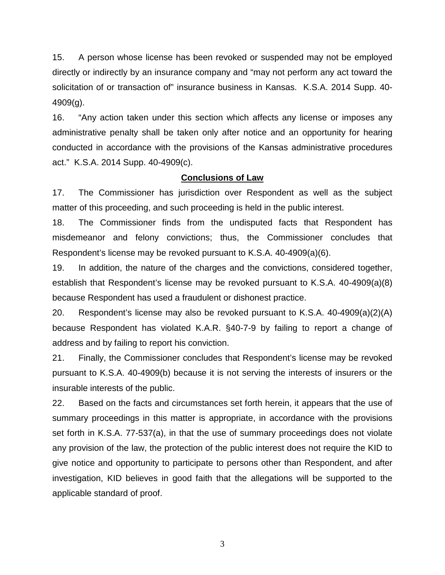15. A person whose license has been revoked or suspended may not be employed directly or indirectly by an insurance company and "may not perform any act toward the solicitation of or transaction of" insurance business in Kansas. K.S.A. 2014 Supp. 40- 4909(g).

16. "Any action taken under this section which affects any license or imposes any administrative penalty shall be taken only after notice and an opportunity for hearing conducted in accordance with the provisions of the Kansas administrative procedures act." K.S.A. 2014 Supp. 40-4909(c).

## **Conclusions of Law**

17. The Commissioner has jurisdiction over Respondent as well as the subject matter of this proceeding, and such proceeding is held in the public interest.

18. The Commissioner finds from the undisputed facts that Respondent has misdemeanor and felony convictions; thus, the Commissioner concludes that Respondent's license may be revoked pursuant to K.S.A. 40-4909(a)(6).

19. In addition, the nature of the charges and the convictions, considered together, establish that Respondent's license may be revoked pursuant to K.S.A. 40-4909(a)(8) because Respondent has used a fraudulent or dishonest practice.

20. Respondent's license may also be revoked pursuant to K.S.A. 40-4909(a)(2)(A) because Respondent has violated K.A.R. §40-7-9 by failing to report a change of address and by failing to report his conviction.

21. Finally, the Commissioner concludes that Respondent's license may be revoked pursuant to K.S.A. 40-4909(b) because it is not serving the interests of insurers or the insurable interests of the public.

22. Based on the facts and circumstances set forth herein, it appears that the use of summary proceedings in this matter is appropriate, in accordance with the provisions set forth in K.S.A. 77-537(a), in that the use of summary proceedings does not violate any provision of the law, the protection of the public interest does not require the KID to give notice and opportunity to participate to persons other than Respondent, and after investigation, KID believes in good faith that the allegations will be supported to the applicable standard of proof.

3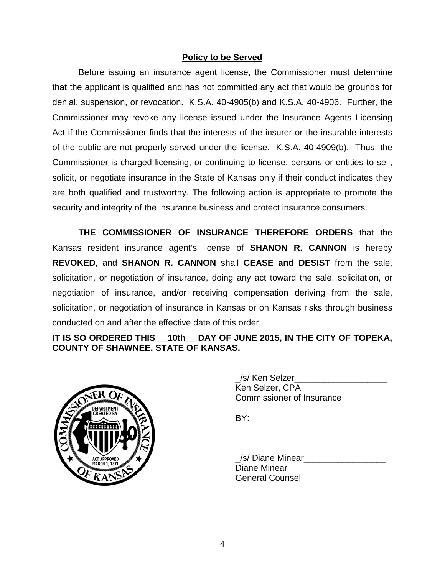# **Policy to be Served**

Before issuing an insurance agent license, the Commissioner must determine that the applicant is qualified and has not committed any act that would be grounds for denial, suspension, or revocation. K.S.A. 40-4905(b) and K.S.A. 40-4906. Further, the Commissioner may revoke any license issued under the Insurance Agents Licensing Act if the Commissioner finds that the interests of the insurer or the insurable interests of the public are not properly served under the license. K.S.A. 40-4909(b). Thus, the Commissioner is charged licensing, or continuing to license, persons or entities to sell, solicit, or negotiate insurance in the State of Kansas only if their conduct indicates they are both qualified and trustworthy. The following action is appropriate to promote the security and integrity of the insurance business and protect insurance consumers.

**THE COMMISSIONER OF INSURANCE THEREFORE ORDERS** that the Kansas resident insurance agent's license of **SHANON R. CANNON** is hereby **REVOKED**, and **SHANON R. CANNON** shall **CEASE and DESIST** from the sale, solicitation, or negotiation of insurance, doing any act toward the sale, solicitation, or negotiation of insurance, and/or receiving compensation deriving from the sale, solicitation, or negotiation of insurance in Kansas or on Kansas risks through business conducted on and after the effective date of this order.

**IT IS SO ORDERED THIS \_\_10th\_\_ DAY OF JUNE 2015, IN THE CITY OF TOPEKA, COUNTY OF SHAWNEE, STATE OF KANSAS.**



| /s/ Ken Selzer                   |  |
|----------------------------------|--|
| Ken Selzer, CPA                  |  |
| <b>Commissioner of Insurance</b> |  |

BY:

/s/ Diane Minear Diane Minear General Counsel